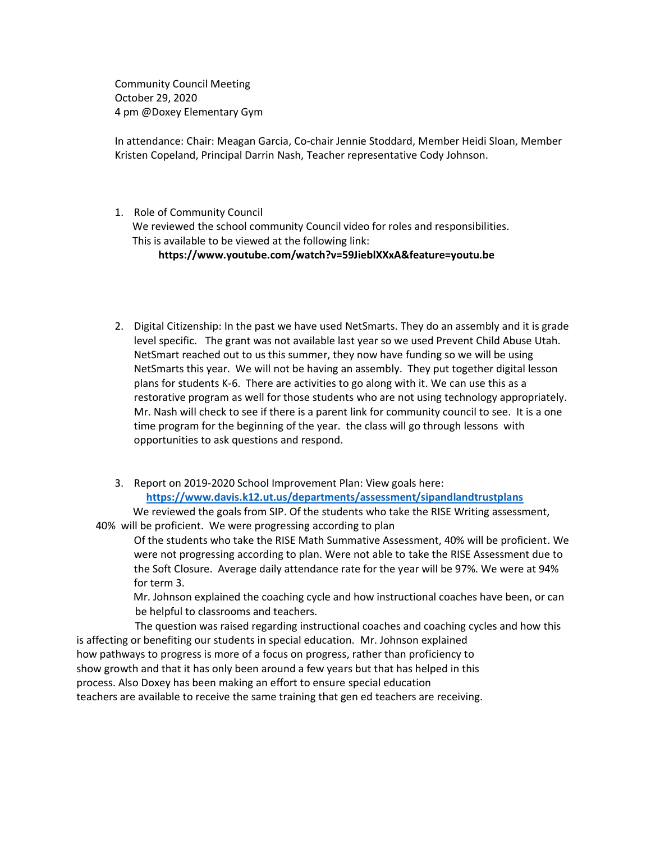Community Council Meeting October 29, 2020 4 pm @Doxey Elementary Gym

In attendance: Chair: Meagan Garcia, Co-chair Jennie Stoddard, Member Heidi Sloan, Member Kristen Copeland, Principal Darrin Nash, Teacher representative Cody Johnson.

## 1. Role of Community Council

 We reviewed the school community Council video for roles and responsibilities. This is available to be viewed at the following link:

## **https://www.youtube.com/watch?v=59JieblXXxA&feature=youtu.be**

- 2. Digital Citizenship: In the past we have used NetSmarts. They do an assembly and it is grade level specific. The grant was not available last year so we used Prevent Child Abuse Utah. NetSmart reached out to us this summer, they now have funding so we will be using NetSmarts this year. We will not be having an assembly. They put together digital lesson plans for students K-6. There are activities to go along with it. We can use this as a restorative program as well for those students who are not using technology appropriately. Mr. Nash will check to see if there is a parent link for community council to see. It is a one time program for the beginning of the year. the class will go through lessons with opportunities to ask questions and respond.
- 3. Report on 2019-2020 School Improvement Plan: View goals here: **<https://www.davis.k12.ut.us/departments/assessment/sipandlandtrustplans>**

 We reviewed the goals from SIP. Of the students who take the RISE Writing assessment, 40% will be proficient. We were progressing according to plan

Of the students who take the RISE Math Summative Assessment, 40% will be proficient. We were not progressing according to plan. Were not able to take the RISE Assessment due to the Soft Closure. Average daily attendance rate for the year will be 97%. We were at 94% for term 3.

 Mr. Johnson explained the coaching cycle and how instructional coaches have been, or can be helpful to classrooms and teachers.

 The question was raised regarding instructional coaches and coaching cycles and how this is affecting or benefiting our students in special education. Mr. Johnson explained how pathways to progress is more of a focus on progress, rather than proficiency to show growth and that it has only been around a few years but that has helped in this process. Also Doxey has been making an effort to ensure special education teachers are available to receive the same training that gen ed teachers are receiving.